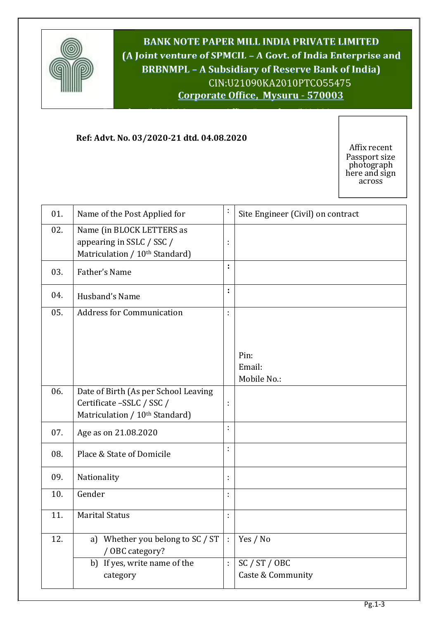

**BANK NOTE PAPER MILL INDIA PRIVATE LIMITED (A Joint venture of SPMCIL – A Govt. of India Enterprise and BRBNMPL – A Subsidiary of Reserve Bank of India)** CIN:U21090KA2010PTCO55475 **Corporate Office, Mysuru - 570003**

**Bangalore 560 029Corporate Office, Bangalore 560 029**

## **Ref: Advt. No. 03/2020-21 dtd. 04.08.2020**

Affix recent Passport size photograph here and sign across

| 01. | Name of the Post Applied for                                                                                    | t  | Site Engineer (Civil) on contract |
|-----|-----------------------------------------------------------------------------------------------------------------|----|-----------------------------------|
| 02. | Name (in BLOCK LETTERS as<br>appearing in SSLC / SSC /<br>Matriculation / 10 <sup>th</sup> Standard)            | t  |                                   |
| 03. | Father's Name                                                                                                   | t  |                                   |
| 04. | Husband's Name                                                                                                  | ÷  |                                   |
| 05. | <b>Address for Communication</b>                                                                                | ł, |                                   |
|     |                                                                                                                 |    | Pin:<br>Email:<br>Mobile No.:     |
| 06. | Date of Birth (As per School Leaving<br>Certificate -SSLC / SSC /<br>Matriculation / 10 <sup>th</sup> Standard) | ÷  |                                   |
| 07. | Age as on 21.08.2020                                                                                            | ÷  |                                   |
| 08. | Place & State of Domicile                                                                                       | ÷  |                                   |
| 09. | Nationality                                                                                                     | ÷  |                                   |
| 10. | Gender                                                                                                          | ÷  |                                   |
| 11. | <b>Marital Status</b>                                                                                           | ł, |                                   |
| 12. | a) Whether you belong to SC / ST<br>/ OBC category?                                                             | ÷  | Yes / No                          |
|     | b) If yes, write name of the                                                                                    | ł, | SC / ST / OBC                     |
|     | category                                                                                                        |    | Caste & Community                 |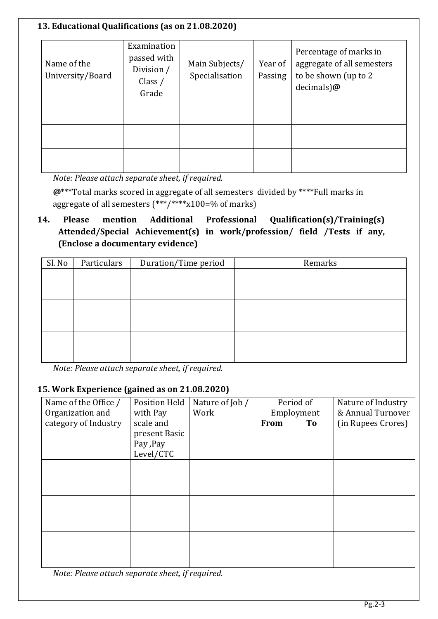#### **13. Educational Qualifications (as on 21.08.2020)** Name of the University/Board Examination passed with Division / Class / Grade Main Subjects/ Specialisation Year of Passing Percentage of marks in aggregate of all semesters to be shown (up to 2 decimals)**@**

*Note: Please attach separate sheet, if required.*

**@**\*\*\*Total marks scored in aggregate of all semesters divided by \*\*\*\*Full marks in aggregate of all semesters (\*\*\*/\*\*\*\*x100=% of marks)

# **14. Please mention Additional Professional Qualification(s)/Training(s) Attended/Special Achievement(s) in work/profession/ field /Tests if any, (Enclose a documentary evidence)**

| Sl. No | Particulars | Duration/Time period | Remarks |
|--------|-------------|----------------------|---------|
|        |             |                      |         |
|        |             |                      |         |
|        |             |                      |         |
|        |             |                      |         |
|        |             |                      |         |
|        |             |                      |         |
|        |             |                      |         |
|        |             |                      |         |

*Note: Please attach separate sheet, if required.*

## **15. Work Experience (gained as on 21.08.2020)**

| Name of the Office / | <b>Position Held</b> | Nature of Job / | Period of  | Nature of Industry |
|----------------------|----------------------|-----------------|------------|--------------------|
| Organization and     | with Pay             | Work            | Employment | & Annual Turnover  |
| category of Industry | scale and            |                 | From<br>To | (in Rupees Crores) |
|                      | present Basic        |                 |            |                    |
|                      | Pay , Pay            |                 |            |                    |
|                      | Level/CTC            |                 |            |                    |
|                      |                      |                 |            |                    |
|                      |                      |                 |            |                    |
|                      |                      |                 |            |                    |
|                      |                      |                 |            |                    |
|                      |                      |                 |            |                    |
|                      |                      |                 |            |                    |
|                      |                      |                 |            |                    |
|                      |                      |                 |            |                    |
|                      |                      |                 |            |                    |
|                      |                      |                 |            |                    |
| - -                  | $\sim$ $\sim$        |                 |            |                    |

*Note: Please attach separate sheet, if required.*